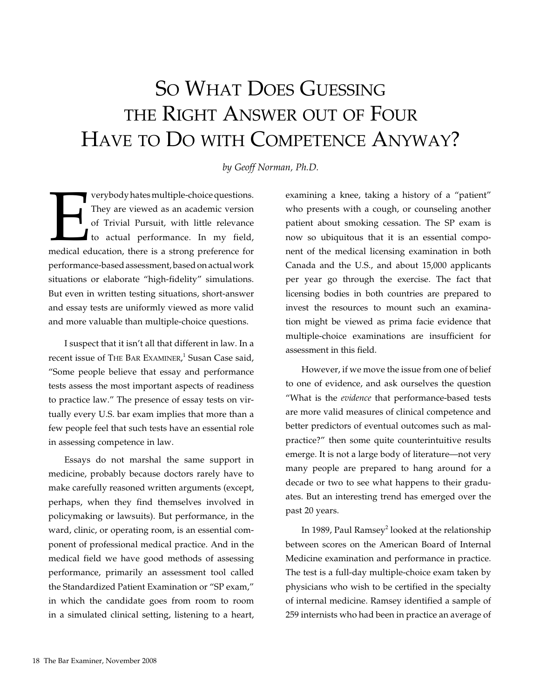## So WHAT DOES GUESSING the Right Answer out of Four Have to Do with Competence Anyway?

*by Geoff Norman, Ph.D.*

verybody hates multiple-choice questions.<br>
They are viewed as an academic version<br>
of Trivial Pursuit, with little relevance<br>
to actual performance. In my field,<br>
medical education, there is a strong preference for They are viewed as an academic version of Trivial Pursuit, with little relevance to actual performance. In my field, performance-based assessment, based on actual work situations or elaborate "high-fidelity" simulations. But even in written testing situations, short-answer and essay tests are uniformly viewed as more valid and more valuable than multiple-choice questions.

I suspect that it isn't all that different in law. In a recent issue of THE BAR EXAMINER,<sup>1</sup> Susan Case said, "Some people believe that essay and performance tests assess the most important aspects of readiness to practice law." The presence of essay tests on virtually every U.S. bar exam implies that more than a few people feel that such tests have an essential role in assessing competence in law.

Essays do not marshal the same support in medicine, probably because doctors rarely have to make carefully reasoned written arguments (except, perhaps, when they find themselves involved in policymaking or lawsuits). But performance, in the ward, clinic, or operating room, is an essential component of professional medical practice. And in the medical field we have good methods of assessing performance, primarily an assessment tool called the Standardized Patient Examination or "SP exam," in which the candidate goes from room to room in a simulated clinical setting, listening to a heart, examining a knee, taking a history of a "patient" who presents with a cough, or counseling another patient about smoking cessation. The SP exam is now so ubiquitous that it is an essential component of the medical licensing examination in both Canada and the U.S., and about 15,000 applicants per year go through the exercise. The fact that licensing bodies in both countries are prepared to invest the resources to mount such an examination might be viewed as prima facie evidence that multiple-choice examinations are insufficient for assessment in this field.

However, if we move the issue from one of belief to one of evidence, and ask ourselves the question "What is the *evidence* that performance-based tests are more valid measures of clinical competence and better predictors of eventual outcomes such as malpractice?" then some quite counterintuitive results emerge. It is not a large body of literature—not very many people are prepared to hang around for a decade or two to see what happens to their graduates. But an interesting trend has emerged over the past 20 years.

In 1989, Paul Ramsey<sup>2</sup> looked at the relationship between scores on the American Board of Internal Medicine examination and performance in practice. The test is a full-day multiple-choice exam taken by physicians who wish to be certified in the specialty of internal medicine. Ramsey identified a sample of 259 internists who had been in practice an average of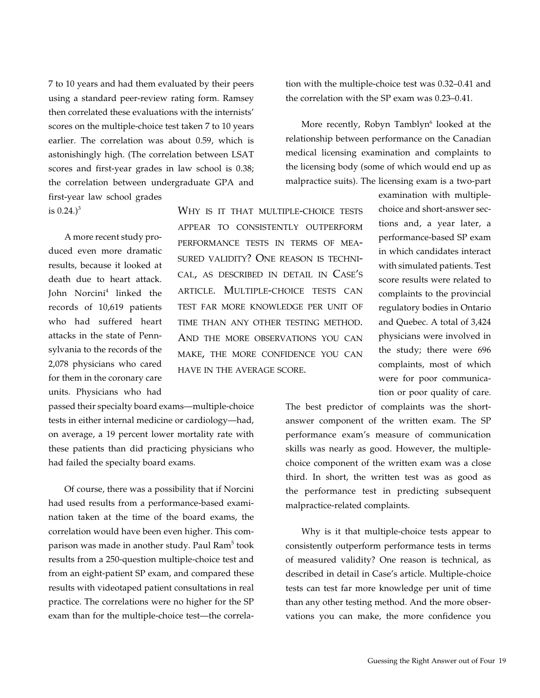7 to 10 years and had them evaluated by their peers using a standard peer-review rating form. Ramsey then correlated these evaluations with the internists' scores on the multiple-choice test taken 7 to 10 years earlier. The correlation was about 0.59, which is astonishingly high. (The correlation between LSAT scores and first-year grades in law school is 0.38; the correlation between undergraduate GPA and first-year law school grades

is  $0.24.$ <sup>3</sup>

A more recent study produced even more dramatic results, because it looked at death due to heart attack. John Norcini<sup>4</sup> linked the records of 10,619 patients who had suffered heart attacks in the state of Pennsylvania to the records of the 2,078 physicians who cared for them in the coronary care units. Physicians who had

passed their specialty board exams—multiple-choice tests in either internal medicine or cardiology—had, on average, a 19 percent lower mortality rate with these patients than did practicing physicians who had failed the specialty board exams.

Of course, there was a possibility that if Norcini had used results from a performance-based examination taken at the time of the board exams, the correlation would have been even higher. This comparison was made in another study. Paul Ram<sup>5</sup> took results from a 250-question multiple-choice test and from an eight-patient SP exam, and compared these results with videotaped patient consultations in real practice. The correlations were no higher for the SP exam than for the multiple-choice test—the correlation with the multiple-choice test was 0.32–0.41 and the correlation with the SP exam was 0.23–0.41.

More recently, Robyn Tamblyn<sup>6</sup> looked at the relationship between performance on the Canadian medical licensing examination and complaints to the licensing body (some of which would end up as malpractice suits). The licensing exam is a two-part

Why is it that multiple-choice tests appear to consistently outperform performance tests in terms of measured validity? One reason is technical, as described in detail in Case's article. Multiple-choice tests can test far more knowledge per unit of time than any other testing method. And the more observations you can make, the more confidence you can have in the average score.

examination with multiplechoice and short-answer sections and, a year later, a performance-based SP exam in which candidates interact with simulated patients. Test score results were related to complaints to the provincial regulatory bodies in Ontario and Quebec. A total of 3,424 physicians were involved in the study; there were 696 complaints, most of which were for poor communication or poor quality of care.

The best predictor of complaints was the shortanswer component of the written exam. The SP performance exam's measure of communication skills was nearly as good. However, the multiplechoice component of the written exam was a close third. In short, the written test was as good as the performance test in predicting subsequent malpractice-related complaints.

Why is it that multiple-choice tests appear to consistently outperform performance tests in terms of measured validity? One reason is technical, as described in detail in Case's article. Multiple-choice tests can test far more knowledge per unit of time than any other testing method. And the more observations you can make, the more confidence you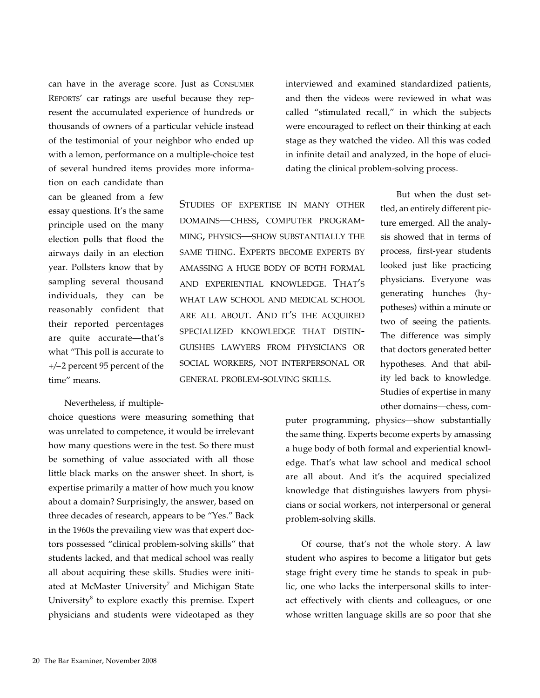can have in the average score. Just as Consumer Reports' car ratings are useful because they represent the accumulated experience of hundreds or thousands of owners of a particular vehicle instead of the testimonial of your neighbor who ended up with a lemon, performance on a multiple-choice test of several hundred items provides more informa-

tion on each candidate than can be gleaned from a few essay questions. It's the same principle used on the many election polls that flood the airways daily in an election year. Pollsters know that by sampling several thousand individuals, they can be reasonably confident that their reported percentages are quite accurate—that's what "This poll is accurate to +/– 2 percent 95 percent of the time" means.

## Nevertheless, if multiple-

choice questions were measuring something that was unrelated to competence, it would be irrelevant how many questions were in the test. So there must be something of value associated with all those little black marks on the answer sheet. In short, is expertise primarily a matter of how much you know about a domain? Surprisingly, the answer, based on three decades of research, appears to be "Yes." Back in the 1960s the prevailing view was that expert doctors possessed "clinical problem-solving skills" that students lacked, and that medical school was really all about acquiring these skills. Studies were initiated at McMaster University<sup>7</sup> and Michigan State University<sup>8</sup> to explore exactly this premise. Expert physicians and students were videotaped as they

interviewed and examined standardized patients, and then the videos were reviewed in what was called "stimulated recall," in which the subjects were encouraged to reflect on their thinking at each stage as they watched the video. All this was coded in infinite detail and analyzed, in the hope of elucidating the clinical problem-solving process.

Studies of expertise in many other domains—chess, computer programming, physics—show substantially the same thing. Experts become experts by amassing a huge body of both formal and experiential knowledge. That's what law school and medical school are all about. And it's the acquired specialized knowledge that distinguishes lawyers from physicians or social workers, not interpersonal or general problem-solving skills.

But when the dust settled, an entirely different picture emerged. All the analysis showed that in terms of process, first-year students looked just like practicing physicians. Everyone was generating hunches (hypotheses) within a minute or two of seeing the patients. The difference was simply that doctors generated better hypotheses. And that ability led back to knowledge. Studies of expertise in many other domains—chess, com-

puter programming, physics—show substantially the same thing. Experts become experts by amassing a huge body of both formal and experiential knowledge. That's what law school and medical school are all about. And it's the acquired specialized knowledge that distinguishes lawyers from physicians or social workers, not interpersonal or general problem-solving skills.

Of course, that's not the whole story. A law student who aspires to become a litigator but gets stage fright every time he stands to speak in public, one who lacks the interpersonal skills to interact effectively with clients and colleagues, or one whose written language skills are so poor that she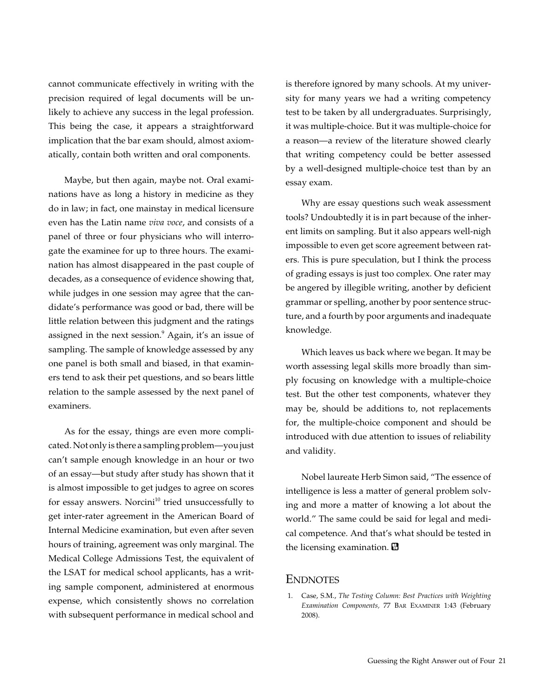cannot communicate effectively in writing with the precision required of legal documents will be unlikely to achieve any success in the legal profession. This being the case, it appears a straightforward implication that the bar exam should, almost axiomatically, contain both written and oral components.

Maybe, but then again, maybe not. Oral examinations have as long a history in medicine as they do in law; in fact, one mainstay in medical licensure even has the Latin name *viva voce*, and consists of a panel of three or four physicians who will interrogate the examinee for up to three hours. The examination has almost disappeared in the past couple of decades, as a consequence of evidence showing that, while judges in one session may agree that the candidate's performance was good or bad, there will be little relation between this judgment and the ratings assigned in the next session.<sup>9</sup> Again, it's an issue of sampling. The sample of knowledge assessed by any one panel is both small and biased, in that examiners tend to ask their pet questions, and so bears little relation to the sample assessed by the next panel of examiners.

As for the essay, things are even more complicated. Not only is there a sampling problem—you just can't sample enough knowledge in an hour or two of an essay—but study after study has shown that it is almost impossible to get judges to agree on scores for essay answers. Nor $\sinh^{10}$  tried unsuccessfully to get inter-rater agreement in the American Board of Internal Medicine examination, but even after seven hours of training, agreement was only marginal. The Medical College Admissions Test, the equivalent of the LSAT for medical school applicants, has a writing sample component, administered at enormous expense, which consistently shows no correlation with subsequent performance in medical school and is therefore ignored by many schools. At my university for many years we had a writing competency test to be taken by all undergraduates. Surprisingly, it was multiple-choice. But it was multiple-choice for a reason—a review of the literature showed clearly that writing competency could be better assessed by a well-designed multiple-choice test than by an essay exam.

Why are essay questions such weak assessment tools? Undoubtedly it is in part because of the inherent limits on sampling. But it also appears well-nigh impossible to even get score agreement between raters. This is pure speculation, but I think the process of grading essays is just too complex. One rater may be angered by illegible writing, another by deficient grammar or spelling, another by poor sentence structure, and a fourth by poor arguments and inadequate knowledge.

Which leaves us back where we began. It may be worth assessing legal skills more broadly than simply focusing on knowledge with a multiple-choice test. But the other test components, whatever they may be, should be additions to, not replacements for, the multiple-choice component and should be introduced with due attention to issues of reliability and validity.

Nobel laureate Herb Simon said, "The essence of intelligence is less a matter of general problem solving and more a matter of knowing a lot about the world." The same could be said for legal and medical competence. And that's what should be tested in the licensing examination.

## **ENDNOTES**

 1. Case, S.M., *The Testing Column: Best Practices with Weighting Examination Components,* 77 Bar Examiner 1:43 (February 2008).